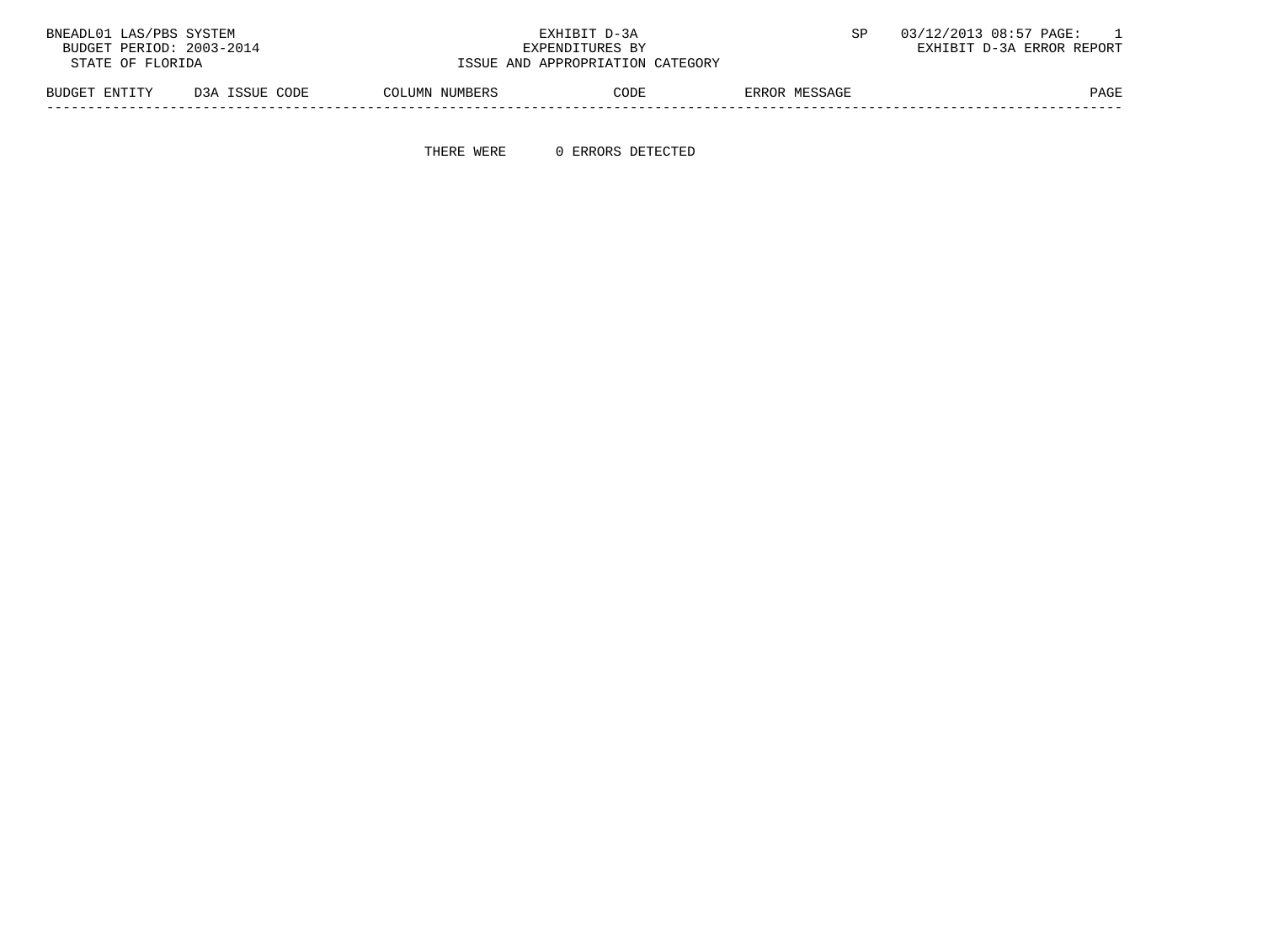| BNEADL01 LAS/PBS SYSTEM  |                |                                  | EXHIBIT D-3A    |               | 03/12/2013 08:57 PAGE:    |
|--------------------------|----------------|----------------------------------|-----------------|---------------|---------------------------|
| BUDGET PERIOD: 2003-2014 |                |                                  | EXPENDITURES BY |               | EXHIBIT D-3A ERROR REPORT |
| STATE OF FLORIDA         |                | ISSUE AND APPROPRIATION CATEGORY |                 |               |                           |
| BUDGET ENTITY            | D3A ISSUE CODE | COLUMN NUMBERS                   | CODE            | ERROR MESSAGE | PAGE                      |

THERE WERE 0 ERRORS DETECTED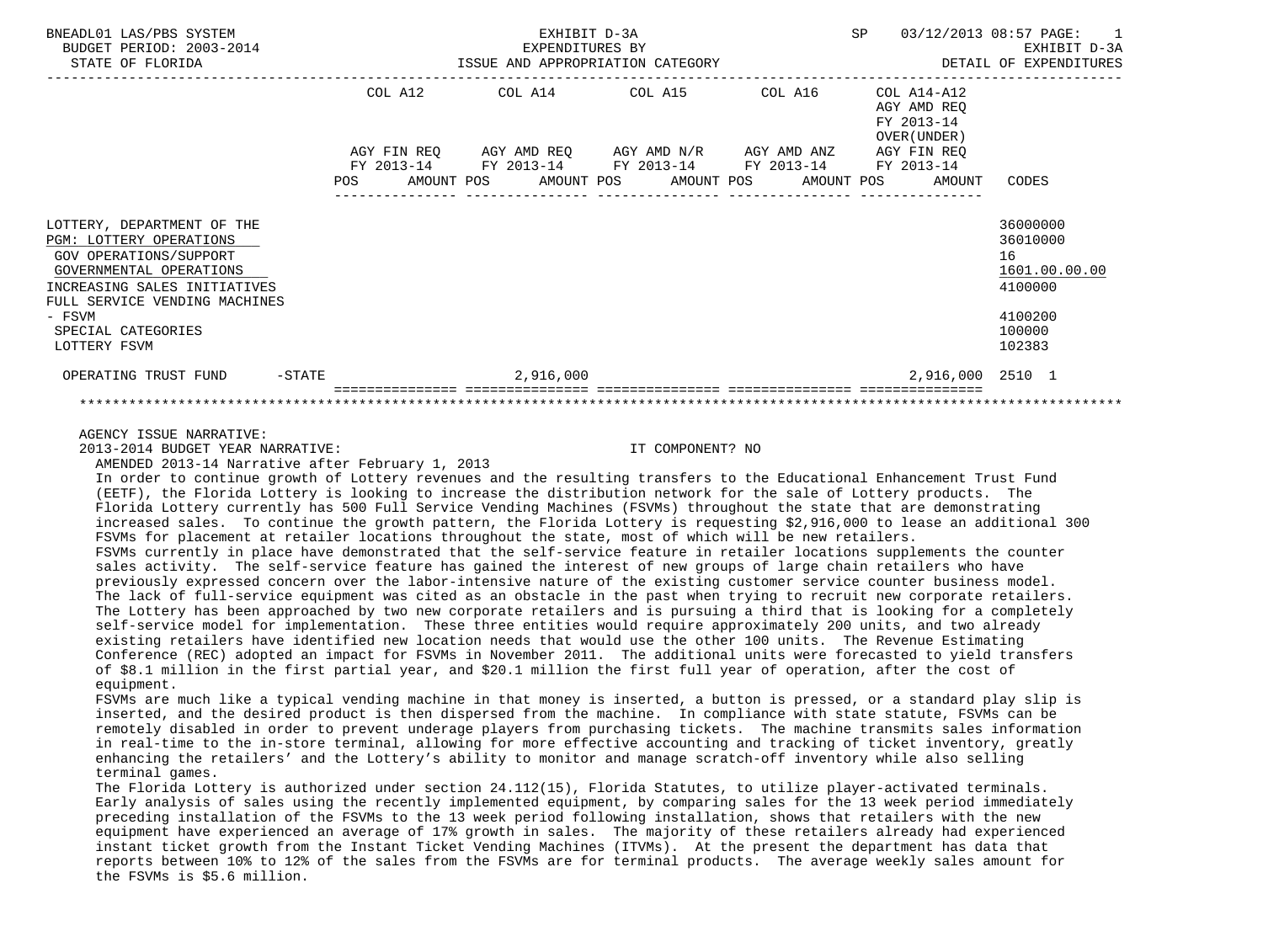| BNEADL01 LAS/PBS SYSTEM<br>BUDGET PERIOD: 2003-2014<br>STATE OF FLORIDA                                                                                                                                                            | EXHIBIT D-3A<br>EXPENDITURES BY<br>ISSUE AND APPROPRIATION CATEGORY |                                                                                                                                                                      |  | SP                                         | 03/12/2013 08:57 PAGE: 1<br>EXHIBIT D-3A<br>DETAIL OF EXPENDITURES                    |
|------------------------------------------------------------------------------------------------------------------------------------------------------------------------------------------------------------------------------------|---------------------------------------------------------------------|----------------------------------------------------------------------------------------------------------------------------------------------------------------------|--|--------------------------------------------|---------------------------------------------------------------------------------------|
|                                                                                                                                                                                                                                    | COL A12                                                             | $COL A14$ $COL A15$ $COL A16$ $COL A14-A12$<br>AGY FIN REQ AGY AMD REQ AGY AMD N/R AGY AMD ANZ AGY FIN REQ<br>FY 2013-14 FY 2013-14 FY 2013-14 FY 2013-14 FY 2013-14 |  | AGY AMD REO<br>FY 2013-14<br>OVER (UNDER ) |                                                                                       |
|                                                                                                                                                                                                                                    |                                                                     | POS AMOUNT POS AMOUNT POS AMOUNT POS AMOUNT POS AMOUNT                                                                                                               |  |                                            | CODES                                                                                 |
| LOTTERY, DEPARTMENT OF THE<br><b>PGM: LOTTERY OPERATIONS</b><br>GOV OPERATIONS/SUPPORT<br>GOVERNMENTAL OPERATIONS<br>INCREASING SALES INITIATIVES<br>FULL SERVICE VENDING MACHINES<br>- FSVM<br>SPECIAL CATEGORIES<br>LOTTERY FSVM |                                                                     |                                                                                                                                                                      |  |                                            | 36000000<br>36010000<br>16<br>1601.00.00.00<br>4100000<br>4100200<br>100000<br>102383 |
| $-$ STATE<br>OPERATING TRUST FUND                                                                                                                                                                                                  |                                                                     | 2,916,000                                                                                                                                                            |  | 2,916,000 2510 1                           |                                                                                       |
|                                                                                                                                                                                                                                    |                                                                     |                                                                                                                                                                      |  |                                            |                                                                                       |

AGENCY ISSUE NARRATIVE:

2013-2014 BUDGET YEAR NARRATIVE: IT COMPONENT? NO

AMENDED 2013-14 Narrative after February 1, 2013

 In order to continue growth of Lottery revenues and the resulting transfers to the Educational Enhancement Trust Fund (EETF), the Florida Lottery is looking to increase the distribution network for the sale of Lottery products. The Florida Lottery currently has 500 Full Service Vending Machines (FSVMs) throughout the state that are demonstrating increased sales. To continue the growth pattern, the Florida Lottery is requesting \$2,916,000 to lease an additional 300 FSVMs for placement at retailer locations throughout the state, most of which will be new retailers. FSVMs currently in place have demonstrated that the self-service feature in retailer locations supplements the counter sales activity. The self-service feature has gained the interest of new groups of large chain retailers who have previously expressed concern over the labor-intensive nature of the existing customer service counter business model. The lack of full-service equipment was cited as an obstacle in the past when trying to recruit new corporate retailers. The Lottery has been approached by two new corporate retailers and is pursuing a third that is looking for a completely self-service model for implementation. These three entities would require approximately 200 units, and two already existing retailers have identified new location needs that would use the other 100 units. The Revenue Estimating Conference (REC) adopted an impact for FSVMs in November 2011. The additional units were forecasted to yield transfers of \$8.1 million in the first partial year, and \$20.1 million the first full year of operation, after the cost of equipment.

 FSVMs are much like a typical vending machine in that money is inserted, a button is pressed, or a standard play slip is inserted, and the desired product is then dispersed from the machine. In compliance with state statute, FSVMs can be remotely disabled in order to prevent underage players from purchasing tickets. The machine transmits sales information in real-time to the in-store terminal, allowing for more effective accounting and tracking of ticket inventory, greatly enhancing the retailers' and the Lottery's ability to monitor and manage scratch-off inventory while also selling terminal games.

 The Florida Lottery is authorized under section 24.112(15), Florida Statutes, to utilize player-activated terminals. Early analysis of sales using the recently implemented equipment, by comparing sales for the 13 week period immediately preceding installation of the FSVMs to the 13 week period following installation, shows that retailers with the new equipment have experienced an average of 17% growth in sales. The majority of these retailers already had experienced instant ticket growth from the Instant Ticket Vending Machines (ITVMs). At the present the department has data that reports between 10% to 12% of the sales from the FSVMs are for terminal products. The average weekly sales amount for the FSVMs is \$5.6 million.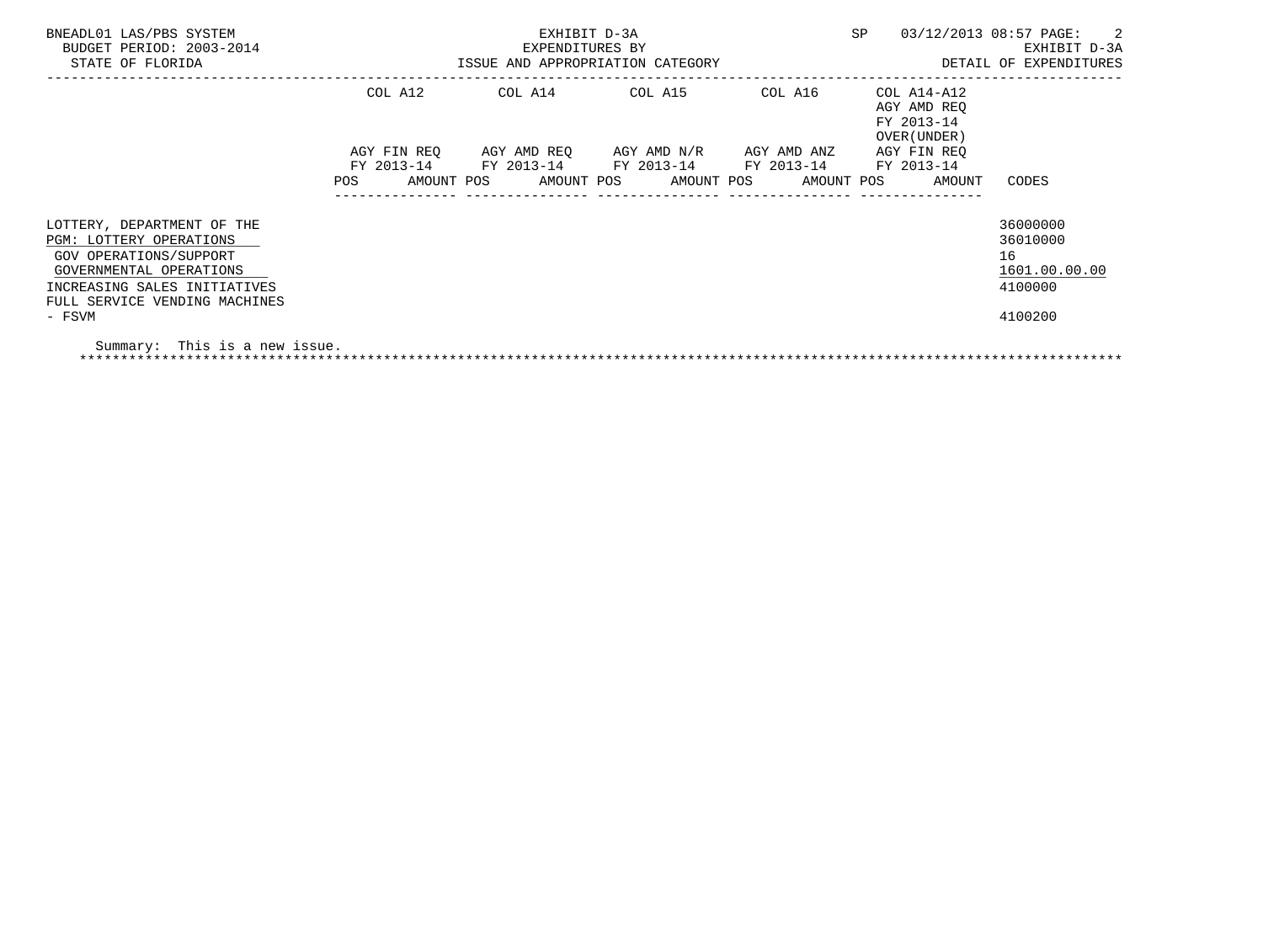| BNEADL01 LAS/PBS SYSTEM<br>BUDGET PERIOD: 2003-2014<br>STATE OF FLORIDA                                                                                                     | EXHIBIT D-3A<br>EXPENDITURES BY<br>ISSUE AND APPROPRIATION CATEGORY |                                     |                                                           |                          | SP                                                       | $\overline{\phantom{a}}$ 2<br>03/12/2013 08:57 PAGE:<br>EXHIBIT D-3A<br>DETAIL OF EXPENDITURES |  |
|-----------------------------------------------------------------------------------------------------------------------------------------------------------------------------|---------------------------------------------------------------------|-------------------------------------|-----------------------------------------------------------|--------------------------|----------------------------------------------------------|------------------------------------------------------------------------------------------------|--|
|                                                                                                                                                                             | COL A12                                                             | ------------------------            | COL A14 COL A15                                           | COL A16                  | COL A14-A12<br>AGY AMD REO<br>FY 2013-14<br>OVER (UNDER) |                                                                                                |  |
|                                                                                                                                                                             | AGY FIN REO<br>FY 2013-14<br>POS<br>AMOUNT POS                      | FY 2013-14 FY 2013-14<br>AMOUNT POS | AGY AMD REO     AGY AMD N/R     AGY AMD ANZ<br>AMOUNT POS | FY 2013-14<br>AMOUNT POS | AGY FIN REO<br>FY 2013-14<br>AMOUNT                      | CODES                                                                                          |  |
| LOTTERY, DEPARTMENT OF THE<br>PGM: LOTTERY OPERATIONS<br>GOV OPERATIONS/SUPPORT<br>GOVERNMENTAL OPERATIONS<br>INCREASING SALES INITIATIVES<br>FULL SERVICE VENDING MACHINES |                                                                     |                                     |                                                           |                          |                                                          | 36000000<br>36010000<br>16<br>1601.00.00.00<br>4100000                                         |  |
| - FSVM<br>Summary: This is a new issue.                                                                                                                                     |                                                                     |                                     |                                                           |                          |                                                          | 4100200                                                                                        |  |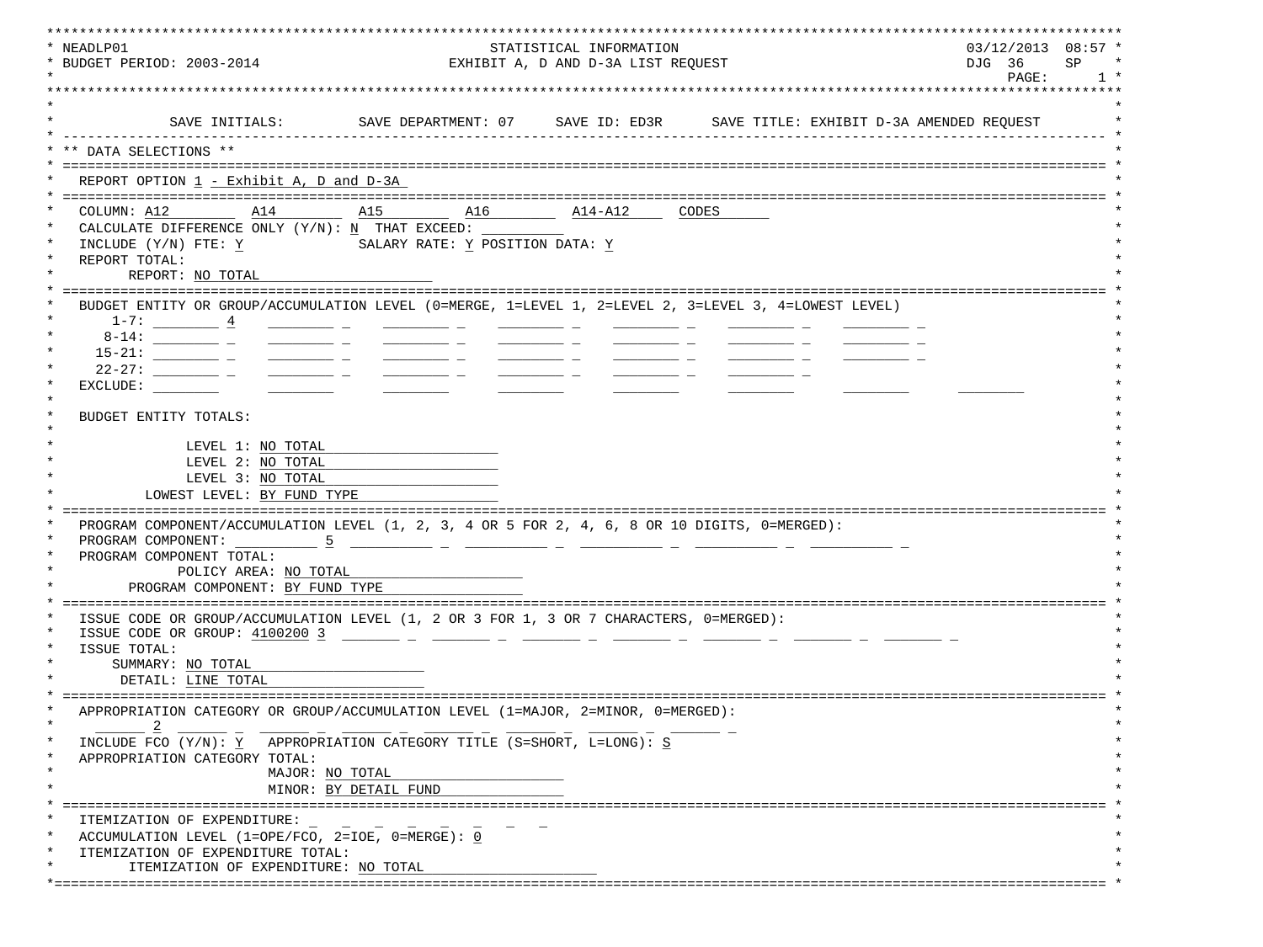| * NEADLP01<br>* BUDGET PERIOD: 2003-2014                                                                                                                                                                                                                                                                                                                                                                                                                                   | STATISTICAL INFORMATION         | $03/12/2013$ $08:57$ *<br>SP<br>DJG 36 |  |  |  |  |
|----------------------------------------------------------------------------------------------------------------------------------------------------------------------------------------------------------------------------------------------------------------------------------------------------------------------------------------------------------------------------------------------------------------------------------------------------------------------------|---------------------------------|----------------------------------------|--|--|--|--|
|                                                                                                                                                                                                                                                                                                                                                                                                                                                                            |                                 | EXHIBIT A, D AND D-3A LIST REQUEST     |  |  |  |  |
|                                                                                                                                                                                                                                                                                                                                                                                                                                                                            |                                 |                                        |  |  |  |  |
| SAVE INITIALS:                                                                                                                                                                                                                                                                                                                                                                                                                                                             |                                 |                                        |  |  |  |  |
| ** DATA SELECTIONS **                                                                                                                                                                                                                                                                                                                                                                                                                                                      |                                 |                                        |  |  |  |  |
|                                                                                                                                                                                                                                                                                                                                                                                                                                                                            |                                 |                                        |  |  |  |  |
| REPORT OPTION 1 - Exhibit A, D and D-3A                                                                                                                                                                                                                                                                                                                                                                                                                                    |                                 |                                        |  |  |  |  |
|                                                                                                                                                                                                                                                                                                                                                                                                                                                                            |                                 |                                        |  |  |  |  |
| COLUMN: A12<br>A14                                                                                                                                                                                                                                                                                                                                                                                                                                                         | A15 A16                         | $\overline{\text{A14-A12}}$ CODES      |  |  |  |  |
| CALCULATE DIFFERENCE ONLY $(Y/N): N$ THAT EXCEED:                                                                                                                                                                                                                                                                                                                                                                                                                          |                                 |                                        |  |  |  |  |
| INCLUDE (Y/N) FTE: Y<br>REPORT TOTAL:                                                                                                                                                                                                                                                                                                                                                                                                                                      | SALARY RATE: Y POSITION DATA: Y |                                        |  |  |  |  |
| REPORT: NO TOTAL                                                                                                                                                                                                                                                                                                                                                                                                                                                           |                                 |                                        |  |  |  |  |
|                                                                                                                                                                                                                                                                                                                                                                                                                                                                            |                                 |                                        |  |  |  |  |
| BUDGET ENTITY OR GROUP/ACCUMULATION LEVEL (0=MERGE, 1=LEVEL 1, 2=LEVEL 2, 3=LEVEL 3, 4=LOWEST LEVEL)                                                                                                                                                                                                                                                                                                                                                                       |                                 |                                        |  |  |  |  |
| $1-7:$ $4$                                                                                                                                                                                                                                                                                                                                                                                                                                                                 |                                 |                                        |  |  |  |  |
|                                                                                                                                                                                                                                                                                                                                                                                                                                                                            |                                 |                                        |  |  |  |  |
| $\frac{1}{2} \left( \frac{1}{2} \right) \left( \frac{1}{2} \right) \left( \frac{1}{2} \right) \left( \frac{1}{2} \right) \left( \frac{1}{2} \right) \left( \frac{1}{2} \right) \left( \frac{1}{2} \right) \left( \frac{1}{2} \right) \left( \frac{1}{2} \right) \left( \frac{1}{2} \right) \left( \frac{1}{2} \right) \left( \frac{1}{2} \right) \left( \frac{1}{2} \right) \left( \frac{1}{2} \right) \left( \frac{1}{2} \right) \left( \frac{1}{2} \right) \left( \frac$ |                                 |                                        |  |  |  |  |
|                                                                                                                                                                                                                                                                                                                                                                                                                                                                            | <u> Albanya (Albanya)</u>       |                                        |  |  |  |  |
| EXCLUDE:                                                                                                                                                                                                                                                                                                                                                                                                                                                                   |                                 |                                        |  |  |  |  |
| BUDGET ENTITY TOTALS:                                                                                                                                                                                                                                                                                                                                                                                                                                                      |                                 |                                        |  |  |  |  |
|                                                                                                                                                                                                                                                                                                                                                                                                                                                                            |                                 |                                        |  |  |  |  |
| LEVEL 1: NO TOTAL                                                                                                                                                                                                                                                                                                                                                                                                                                                          |                                 |                                        |  |  |  |  |
| LEVEL 2: NO TOTAL                                                                                                                                                                                                                                                                                                                                                                                                                                                          |                                 |                                        |  |  |  |  |
| LEVEL 3: NO TOTAL                                                                                                                                                                                                                                                                                                                                                                                                                                                          |                                 |                                        |  |  |  |  |
| LOWEST LEVEL: BY FUND TYPE                                                                                                                                                                                                                                                                                                                                                                                                                                                 |                                 |                                        |  |  |  |  |
|                                                                                                                                                                                                                                                                                                                                                                                                                                                                            |                                 |                                        |  |  |  |  |
| PROGRAM COMPONENT/ACCUMULATION LEVEL (1, 2, 3, 4 OR 5 FOR 2, 4, 6, 8 OR 10 DIGITS, 0=MERGED):                                                                                                                                                                                                                                                                                                                                                                              |                                 |                                        |  |  |  |  |
| PROGRAM COMPONENT: 5                                                                                                                                                                                                                                                                                                                                                                                                                                                       |                                 |                                        |  |  |  |  |
| PROGRAM COMPONENT TOTAL:<br>POLICY AREA: NO TOTAL                                                                                                                                                                                                                                                                                                                                                                                                                          |                                 |                                        |  |  |  |  |
| PROGRAM COMPONENT: BY FUND TYPE                                                                                                                                                                                                                                                                                                                                                                                                                                            |                                 |                                        |  |  |  |  |
|                                                                                                                                                                                                                                                                                                                                                                                                                                                                            |                                 |                                        |  |  |  |  |
| ISSUE CODE OR GROUP/ACCUMULATION LEVEL (1, 2 OR 3 FOR 1, 3 OR 7 CHARACTERS, 0=MERGED):                                                                                                                                                                                                                                                                                                                                                                                     |                                 |                                        |  |  |  |  |
| ISSUE CODE OR GROUP: 4100200 3                                                                                                                                                                                                                                                                                                                                                                                                                                             |                                 |                                        |  |  |  |  |
| ISSUE TOTAL:                                                                                                                                                                                                                                                                                                                                                                                                                                                               |                                 |                                        |  |  |  |  |
| SUMMARY: NO TOTAL                                                                                                                                                                                                                                                                                                                                                                                                                                                          |                                 |                                        |  |  |  |  |
| DETAIL: LINE TOTAL                                                                                                                                                                                                                                                                                                                                                                                                                                                         |                                 |                                        |  |  |  |  |
|                                                                                                                                                                                                                                                                                                                                                                                                                                                                            |                                 |                                        |  |  |  |  |
| APPROPRIATION CATEGORY OR GROUP/ACCUMULATION LEVEL (1=MAJOR, 2=MINOR, 0=MERGED):<br>$\overline{\phantom{0}}^2$                                                                                                                                                                                                                                                                                                                                                             |                                 |                                        |  |  |  |  |
| INCLUDE FCO (Y/N): Y APPROPRIATION CATEGORY TITLE (S=SHORT, L=LONG): S                                                                                                                                                                                                                                                                                                                                                                                                     |                                 |                                        |  |  |  |  |
| APPROPRIATION CATEGORY TOTAL:                                                                                                                                                                                                                                                                                                                                                                                                                                              |                                 |                                        |  |  |  |  |
| MAJOR: NO TOTAL                                                                                                                                                                                                                                                                                                                                                                                                                                                            |                                 |                                        |  |  |  |  |
|                                                                                                                                                                                                                                                                                                                                                                                                                                                                            | MINOR: BY DETAIL FUND           |                                        |  |  |  |  |
|                                                                                                                                                                                                                                                                                                                                                                                                                                                                            |                                 |                                        |  |  |  |  |
| ITEMIZATION OF EXPENDITURE:                                                                                                                                                                                                                                                                                                                                                                                                                                                |                                 |                                        |  |  |  |  |
| ACCUMULATION LEVEL (1=OPE/FCO, 2=IOE, $0 = MERGE$ ): 0                                                                                                                                                                                                                                                                                                                                                                                                                     |                                 |                                        |  |  |  |  |
| ITEMIZATION OF EXPENDITURE TOTAL:                                                                                                                                                                                                                                                                                                                                                                                                                                          |                                 |                                        |  |  |  |  |
| ITEMIZATION OF EXPENDITURE: NO TOTAL                                                                                                                                                                                                                                                                                                                                                                                                                                       |                                 |                                        |  |  |  |  |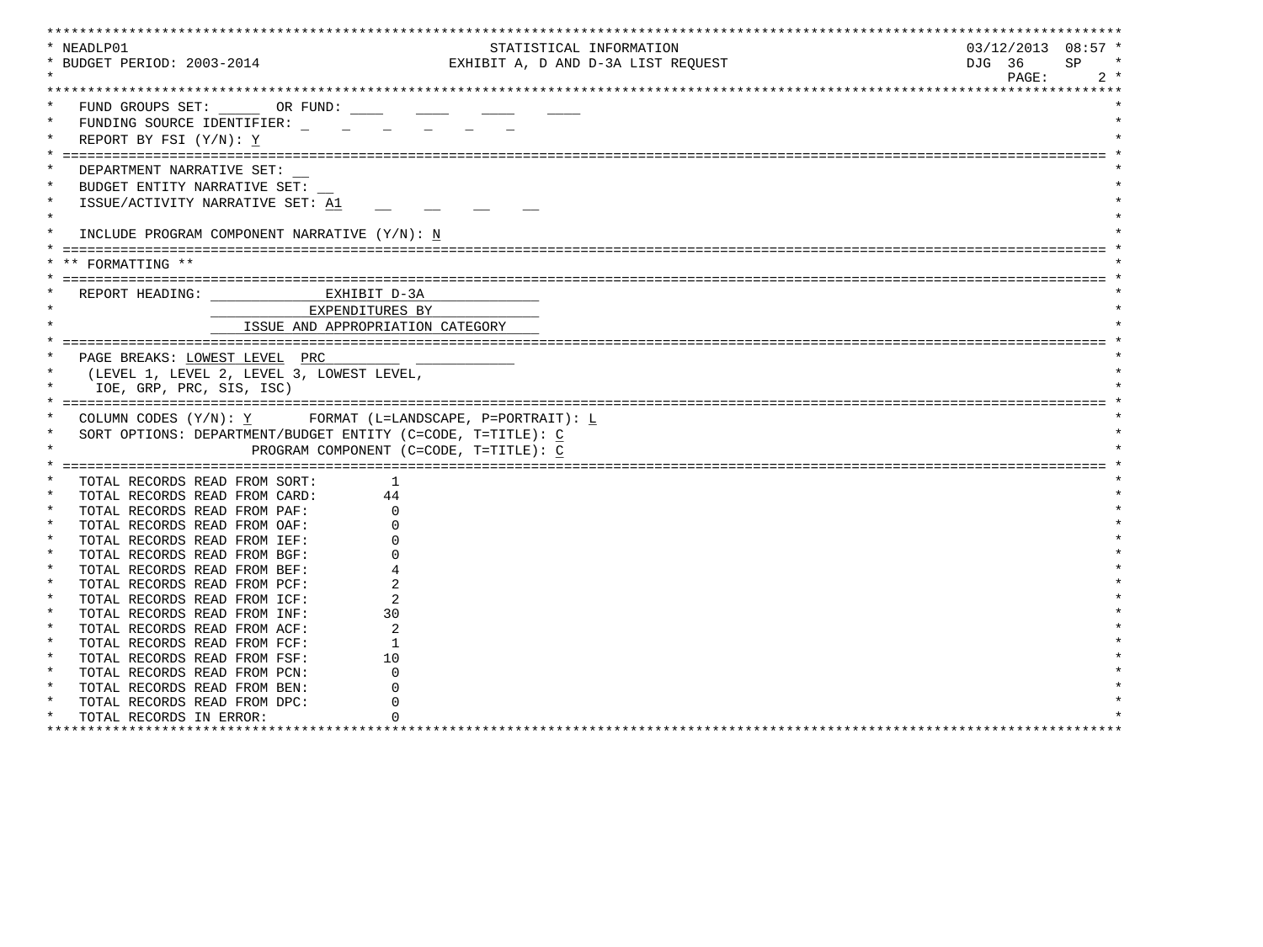|         | * NEADLP01                                                  |                                        | STATISTICAL INFORMATION            | $03/12/2013$ $08:57$ * |
|---------|-------------------------------------------------------------|----------------------------------------|------------------------------------|------------------------|
|         | * BUDGET PERIOD: 2003-2014                                  |                                        | EXHIBIT A, D AND D-3A LIST REQUEST | DJG 36<br>SP           |
|         |                                                             |                                        |                                    | PAGE:<br>$2 *$         |
|         |                                                             |                                        |                                    |                        |
|         | FUND GROUPS SET: _______ OR FUND: _____                     |                                        |                                    |                        |
|         |                                                             |                                        |                                    |                        |
|         | FUNDING SOURCE IDENTIFIER:                                  |                                        |                                    |                        |
|         | REPORT BY FSI (Y/N): Y                                      |                                        |                                    |                        |
|         |                                                             |                                        |                                    |                        |
|         | DEPARTMENT NARRATIVE SET:                                   |                                        |                                    |                        |
| $\ast$  | BUDGET ENTITY NARRATIVE SET:                                |                                        |                                    |                        |
|         | ISSUE/ACTIVITY NARRATIVE SET: A1                            |                                        |                                    |                        |
| $\star$ |                                                             |                                        |                                    |                        |
|         | INCLUDE PROGRAM COMPONENT NARRATIVE (Y/N): N                |                                        |                                    |                        |
|         |                                                             |                                        |                                    |                        |
|         |                                                             |                                        |                                    |                        |
|         | ** FORMATTING **                                            |                                        |                                    |                        |
|         |                                                             |                                        |                                    |                        |
|         | REPORT HEADING: EXHIBIT D-3A                                |                                        |                                    |                        |
|         | EXPENDITURES BY                                             |                                        |                                    |                        |
|         | ISSUE AND APPROPRIATION CATEGORY                            |                                        |                                    |                        |
|         |                                                             |                                        |                                    |                        |
|         | PAGE BREAKS: LOWEST LEVEL PRC                               |                                        |                                    |                        |
|         |                                                             |                                        |                                    |                        |
|         | (LEVEL 1, LEVEL 2, LEVEL 3, LOWEST LEVEL,                   |                                        |                                    |                        |
|         |                                                             |                                        |                                    |                        |
|         | IOE, GRP, PRC, SIS, ISC)                                    |                                        |                                    |                        |
|         |                                                             |                                        |                                    |                        |
|         | COLUMN CODES $(Y/N): Y$ FORMAT (L=LANDSCAPE, P=PORTRAIT): L |                                        |                                    |                        |
|         | SORT OPTIONS: DEPARTMENT/BUDGET ENTITY (C=CODE, T=TITLE): C |                                        |                                    |                        |
|         |                                                             | PROGRAM COMPONENT (C=CODE, T=TITLE): C |                                    |                        |
|         |                                                             |                                        |                                    |                        |
|         | TOTAL RECORDS READ FROM SORT:                               | -1                                     |                                    |                        |
|         |                                                             |                                        |                                    |                        |
|         | TOTAL RECORDS READ FROM CARD:                               | 44                                     |                                    |                        |
|         | TOTAL RECORDS READ FROM PAF:                                |                                        |                                    |                        |
| $\star$ | TOTAL RECORDS READ FROM OAF:                                |                                        |                                    |                        |
| $\star$ | TOTAL RECORDS READ FROM IEF:                                |                                        |                                    |                        |
|         | TOTAL RECORDS READ FROM BGF:                                |                                        |                                    |                        |
| $\star$ | TOTAL RECORDS READ FROM BEF:                                |                                        |                                    |                        |
|         | TOTAL RECORDS READ FROM PCF:                                |                                        |                                    |                        |
| $\star$ | TOTAL RECORDS READ FROM ICF:                                |                                        |                                    |                        |
| $\star$ | TOTAL RECORDS READ FROM INF:                                | 30                                     |                                    |                        |
| $\star$ | TOTAL RECORDS READ FROM ACF:                                |                                        |                                    |                        |
| $\ast$  | TOTAL RECORDS READ FROM FCF:                                | -1                                     |                                    |                        |
| $\star$ | TOTAL RECORDS READ FROM FSF:                                | 10                                     |                                    |                        |
| $\star$ | TOTAL RECORDS READ FROM PCN:                                |                                        |                                    |                        |
| $\star$ | TOTAL RECORDS READ FROM BEN:                                |                                        |                                    |                        |
| $\ast$  |                                                             |                                        |                                    |                        |
|         | TOTAL RECORDS READ FROM DPC:<br>TOTAL RECORDS IN ERROR:     |                                        |                                    |                        |